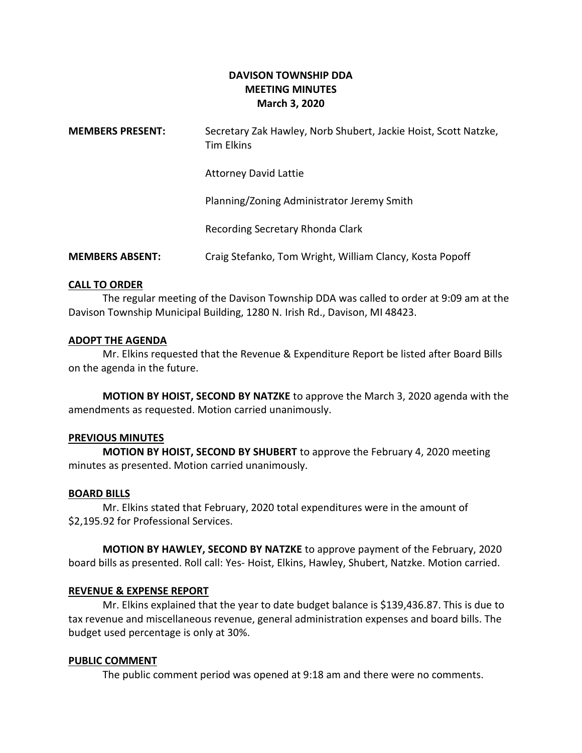# **DAVISON TOWNSHIP DDA MEETING MINUTES March 3, 2020**

| <b>MEMBERS PRESENT:</b> | Secretary Zak Hawley, Norb Shubert, Jackie Hoist, Scott Natzke,<br><b>Tim Elkins</b> |
|-------------------------|--------------------------------------------------------------------------------------|
|                         | <b>Attorney David Lattie</b>                                                         |
|                         | Planning/Zoning Administrator Jeremy Smith                                           |
|                         | Recording Secretary Rhonda Clark                                                     |
| <b>MEMBERS ABSENT:</b>  | Craig Stefanko, Tom Wright, William Clancy, Kosta Popoff                             |

## **CALL TO ORDER**

The regular meeting of the Davison Township DDA was called to order at 9:09 am at the Davison Township Municipal Building, 1280 N. Irish Rd., Davison, MI 48423.

#### **ADOPT THE AGENDA**

Mr. Elkins requested that the Revenue & Expenditure Report be listed after Board Bills on the agenda in the future.

**MOTION BY HOIST, SECOND BY NATZKE** to approve the March 3, 2020 agenda with the amendments as requested. Motion carried unanimously.

#### **PREVIOUS MINUTES**

**MOTION BY HOIST, SECOND BY SHUBERT** to approve the February 4, 2020 meeting minutes as presented. Motion carried unanimously.

#### **BOARD BILLS**

Mr. Elkins stated that February, 2020 total expenditures were in the amount of \$2,195.92 for Professional Services.

**MOTION BY HAWLEY, SECOND BY NATZKE** to approve payment of the February, 2020 board bills as presented. Roll call: Yes- Hoist, Elkins, Hawley, Shubert, Natzke. Motion carried.

## **REVENUE & EXPENSE REPORT**

Mr. Elkins explained that the year to date budget balance is \$139,436.87. This is due to tax revenue and miscellaneous revenue, general administration expenses and board bills. The budget used percentage is only at 30%.

## **PUBLIC COMMENT**

The public comment period was opened at 9:18 am and there were no comments.